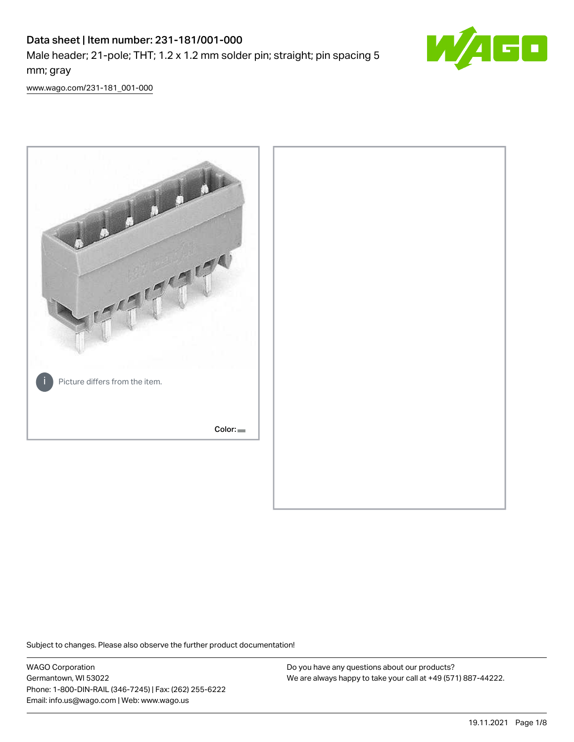# Data sheet | Item number: 231-181/001-000 Male header; 21-pole; THT; 1.2 x 1.2 mm solder pin; straight; pin spacing 5 mm; gray



[www.wago.com/231-181\\_001-000](http://www.wago.com/231-181_001-000)



Subject to changes. Please also observe the further product documentation!

WAGO Corporation Germantown, WI 53022 Phone: 1-800-DIN-RAIL (346-7245) | Fax: (262) 255-6222 Email: info.us@wago.com | Web: www.wago.us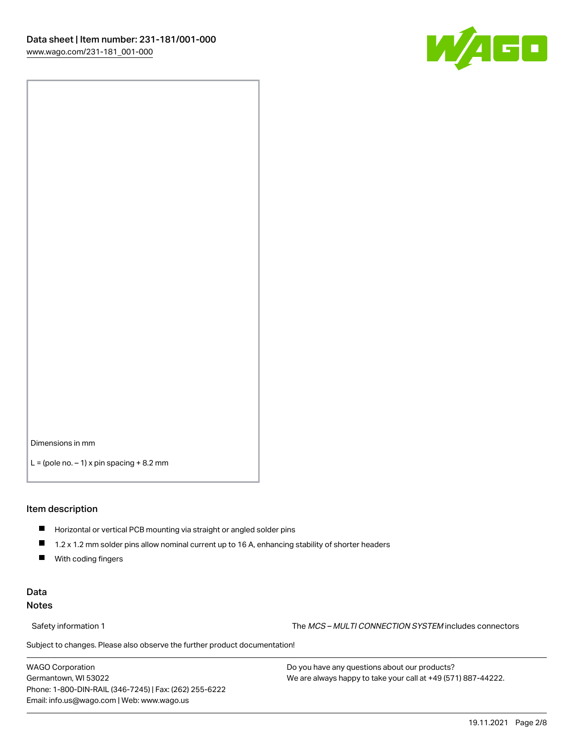

Dimensions in mm

 $L =$  (pole no.  $-1$ ) x pin spacing  $+8.2$  mm

#### Item description

- **Horizontal or vertical PCB mounting via straight or angled solder pins**
- 1.2 x 1.2 mm solder pins allow nominal current up to 16 A, enhancing stability of shorter headers
- $\blacksquare$ With coding fingers

#### Data Notes

Safety information 1 The MCS – MULTI CONNECTION SYSTEM includes connectors

Subject to changes. Please also observe the further product documentation!  $\nu$ 

WAGO Corporation Germantown, WI 53022 Phone: 1-800-DIN-RAIL (346-7245) | Fax: (262) 255-6222 Email: info.us@wago.com | Web: www.wago.us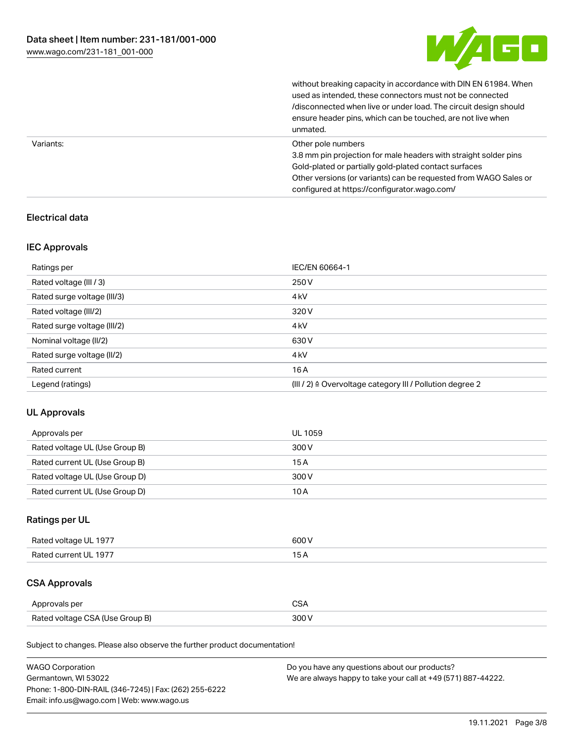

|           | without breaking capacity in accordance with DIN EN 61984. When<br>used as intended, these connectors must not be connected<br>/disconnected when live or under load. The circuit design should<br>ensure header pins, which can be touched, are not live when<br>unmated. |
|-----------|----------------------------------------------------------------------------------------------------------------------------------------------------------------------------------------------------------------------------------------------------------------------------|
| Variants: | Other pole numbers<br>3.8 mm pin projection for male headers with straight solder pins<br>Gold-plated or partially gold-plated contact surfaces<br>Other versions (or variants) can be requested from WAGO Sales or<br>configured at https://configurator.wago.com/        |

#### Electrical data

#### IEC Approvals

| Ratings per                 | IEC/EN 60664-1                                                        |
|-----------------------------|-----------------------------------------------------------------------|
| Rated voltage (III / 3)     | 250 V                                                                 |
| Rated surge voltage (III/3) | 4 <sub>kV</sub>                                                       |
| Rated voltage (III/2)       | 320 V                                                                 |
| Rated surge voltage (III/2) | 4 <sub>k</sub> V                                                      |
| Nominal voltage (II/2)      | 630 V                                                                 |
| Rated surge voltage (II/2)  | 4 <sub>k</sub> V                                                      |
| Rated current               | 16A                                                                   |
| Legend (ratings)            | $(III / 2)$ $\triangle$ Overvoltage category III / Pollution degree 2 |

## UL Approvals

| Approvals per                  | UL 1059 |
|--------------------------------|---------|
| Rated voltage UL (Use Group B) | 300 V   |
| Rated current UL (Use Group B) | 15A     |
| Rated voltage UL (Use Group D) | 300 V   |
| Rated current UL (Use Group D) | 10A     |

## Ratings per UL

| Rated voltage UL 1977 | 600 V |
|-----------------------|-------|
| Rated current UL 1977 |       |

## CSA Approvals

| Approvals per                   | ~~    |
|---------------------------------|-------|
| Rated voltage CSA (Use Group B) | 3UU 1 |

Subject to changes. Please also observe the further product documentation!

| <b>WAGO Corporation</b>                                | Do you have any questions about our products?                 |
|--------------------------------------------------------|---------------------------------------------------------------|
| Germantown, WI 53022                                   | We are always happy to take your call at +49 (571) 887-44222. |
| Phone: 1-800-DIN-RAIL (346-7245)   Fax: (262) 255-6222 |                                                               |
| Email: info.us@wago.com   Web: www.wago.us             |                                                               |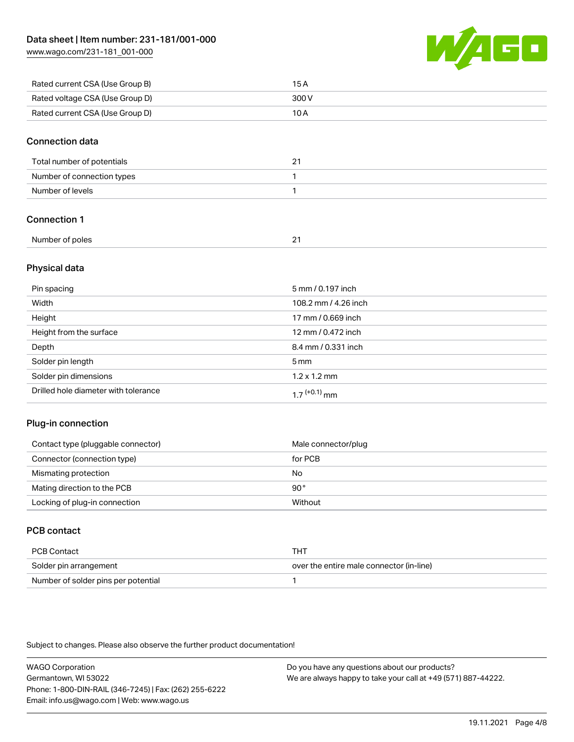[www.wago.com/231-181\\_001-000](http://www.wago.com/231-181_001-000)



| Rated current CSA (Use Group B) | 15 A  |
|---------------------------------|-------|
| Rated voltage CSA (Use Group D) | 300 V |
| Rated current CSA (Use Group D) | 10 A  |

#### Connection data

| Total number of potentials | <u>.</u> |
|----------------------------|----------|
| Number of connection types |          |
| Number of levels           |          |

### Connection 1

| Number of poles |  |
|-----------------|--|
|                 |  |

#### Physical data

| Pin spacing                          | 5 mm / 0.197 inch           |
|--------------------------------------|-----------------------------|
| Width                                | 108.2 mm / 4.26 inch        |
| Height                               | 17 mm / 0.669 inch          |
| Height from the surface              | 12 mm / 0.472 inch          |
| Depth                                | 8.4 mm / 0.331 inch         |
| Solder pin length                    | $5 \,\mathrm{mm}$           |
| Solder pin dimensions                | $1.2 \times 1.2 \text{ mm}$ |
| Drilled hole diameter with tolerance | $17^{(+0.1)}$ mm            |

#### Plug-in connection

| Contact type (pluggable connector) | Male connector/plug |
|------------------------------------|---------------------|
| Connector (connection type)        | for PCB             |
| Mismating protection               | No                  |
| Mating direction to the PCB        | 90°                 |
| Locking of plug-in connection      | Without             |

## PCB contact

| PCB Contact                         | тнт                                      |
|-------------------------------------|------------------------------------------|
| Solder pin arrangement              | over the entire male connector (in-line) |
| Number of solder pins per potential |                                          |

Subject to changes. Please also observe the further product documentation!

WAGO Corporation Germantown, WI 53022 Phone: 1-800-DIN-RAIL (346-7245) | Fax: (262) 255-6222 Email: info.us@wago.com | Web: www.wago.us Do you have any questions about our products? We are always happy to take your call at +49 (571) 887-44222.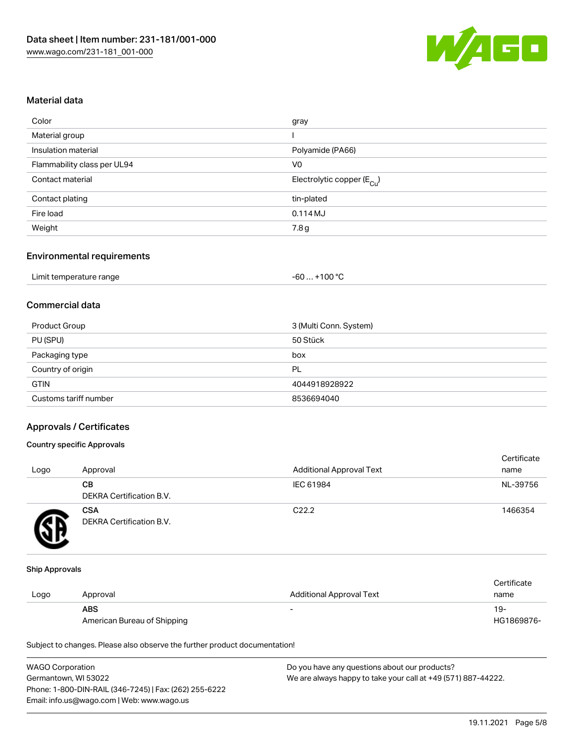

#### Material data

| Color                       | gray                                   |
|-----------------------------|----------------------------------------|
| Material group              |                                        |
| Insulation material         | Polyamide (PA66)                       |
| Flammability class per UL94 | V <sub>0</sub>                         |
| Contact material            | Electrolytic copper (E <sub>Cu</sub> ) |
| Contact plating             | tin-plated                             |
| Fire load                   | 0.114MJ                                |
| Weight                      | 7.8g                                   |

#### Environmental requirements

| Limit temperature range | . +100 °C<br>-60 |
|-------------------------|------------------|
|-------------------------|------------------|

## Commercial data

| Product Group         | 3 (Multi Conn. System) |
|-----------------------|------------------------|
| PU (SPU)              | 50 Stück               |
| Packaging type        | box                    |
| Country of origin     | PL                     |
| <b>GTIN</b>           | 4044918928922          |
| Customs tariff number | 8536694040             |

#### Approvals / Certificates

#### Country specific Approvals

| Logo | Approval                               | <b>Additional Approval Text</b> | Certificate<br>name |
|------|----------------------------------------|---------------------------------|---------------------|
|      | CВ<br>DEKRA Certification B.V.         | IEC 61984                       | NL-39756            |
|      | <b>CSA</b><br>DEKRA Certification B.V. | C <sub>22.2</sub>               | 1466354             |

#### Ship Approvals

| Logo | Approval                                  | Additional Approval Text | Certificate<br>name |
|------|-------------------------------------------|--------------------------|---------------------|
|      | <b>ABS</b><br>American Bureau of Shipping | $\overline{\phantom{0}}$ | 19-<br>HG1869876-   |

Subject to changes. Please also observe the further product documentation!

| <b>WAGO Corporation</b>                                | Do you have any questions about our products?                 |
|--------------------------------------------------------|---------------------------------------------------------------|
| Germantown, WI 53022                                   | We are always happy to take your call at +49 (571) 887-44222. |
| Phone: 1-800-DIN-RAIL (346-7245)   Fax: (262) 255-6222 |                                                               |
| Email: info.us@wago.com   Web: www.wago.us             |                                                               |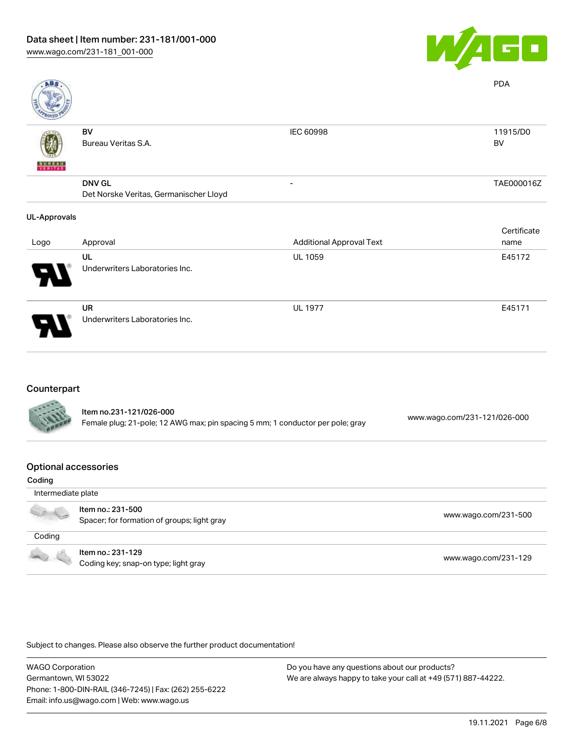

| ABS                 |                                        |                                 | <b>PDA</b>     |
|---------------------|----------------------------------------|---------------------------------|----------------|
| VERITAS             | BV<br>Bureau Veritas S.A.              | IEC 60998                       | 11915/D0<br>BV |
|                     | <b>DNV GL</b>                          |                                 | TAE000016Z     |
|                     | Det Norske Veritas, Germanischer Lloyd |                                 |                |
| <b>UL-Approvals</b> |                                        |                                 |                |
|                     |                                        |                                 | Certificate    |
| Logo                | Approval                               | <b>Additional Approval Text</b> | name           |
|                     | UL<br>Underwriters Laboratories Inc.   | <b>UL 1059</b>                  | E45172         |
|                     | UR<br>Underwriters Laboratories Inc.   | <b>UL 1977</b>                  | E45171         |

#### Counterpart

| <b>CALLES</b> | Item no.231-121/026-000<br>Female plug; 21-pole; 12 AWG max; pin spacing 5 mm; 1 conductor per pole; gray | www.wago.com/231-121/026-000 |
|---------------|-----------------------------------------------------------------------------------------------------------|------------------------------|
|               |                                                                                                           |                              |

#### Optional accessories

| Coding             |                                                                  |                      |
|--------------------|------------------------------------------------------------------|----------------------|
| Intermediate plate |                                                                  |                      |
|                    | Item no.: 231-500<br>Spacer; for formation of groups; light gray | www.wago.com/231-500 |
| Coding             |                                                                  |                      |
| <b>COLLEGE</b>     | Item no.: 231-129<br>Coding key; snap-on type; light gray        | www.wago.com/231-129 |

Subject to changes. Please also observe the further product documentation!

WAGO Corporation Germantown, WI 53022 Phone: 1-800-DIN-RAIL (346-7245) | Fax: (262) 255-6222 Email: info.us@wago.com | Web: www.wago.us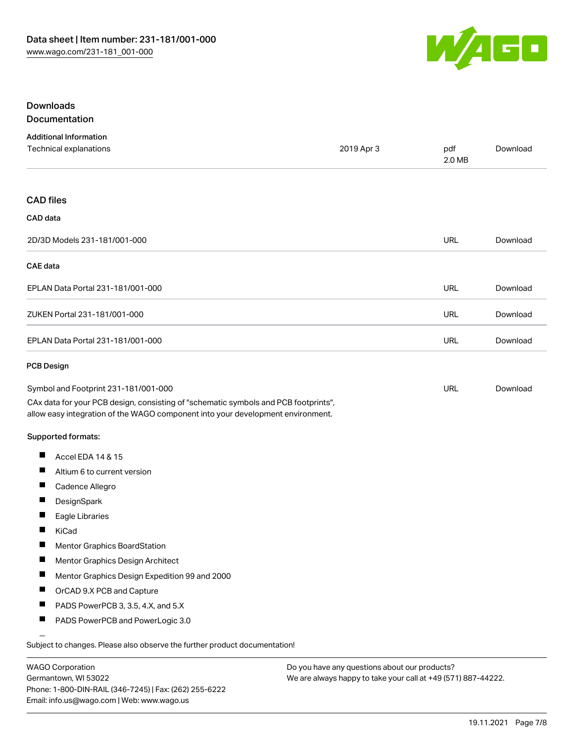

#### Downloads **Documentation**

|  | --------------- |        |  |
|--|-----------------|--------|--|
|  |                 |        |  |
|  | $\sim$ $\sim$   | $\sim$ |  |

| <b>Additional Information</b><br>Technical explanations                                                                                                                                                        | 2019 Apr 3 | pdf<br>2.0 MB | Download |
|----------------------------------------------------------------------------------------------------------------------------------------------------------------------------------------------------------------|------------|---------------|----------|
| <b>CAD</b> files                                                                                                                                                                                               |            |               |          |
| CAD data                                                                                                                                                                                                       |            |               |          |
| 2D/3D Models 231-181/001-000                                                                                                                                                                                   |            | <b>URL</b>    | Download |
| <b>CAE</b> data                                                                                                                                                                                                |            |               |          |
| EPLAN Data Portal 231-181/001-000                                                                                                                                                                              |            | <b>URL</b>    | Download |
| ZUKEN Portal 231-181/001-000                                                                                                                                                                                   |            | URL           | Download |
| EPLAN Data Portal 231-181/001-000                                                                                                                                                                              |            | <b>URL</b>    | Download |
| <b>PCB Design</b>                                                                                                                                                                                              |            |               |          |
| Symbol and Footprint 231-181/001-000<br>CAx data for your PCB design, consisting of "schematic symbols and PCB footprints",<br>allow easy integration of the WAGO component into your development environment. |            | URL           | Download |
| Supported formats:                                                                                                                                                                                             |            |               |          |
| П<br>Accel EDA 14 & 15                                                                                                                                                                                         |            |               |          |
| $\blacksquare$<br>Altium 6 to current version                                                                                                                                                                  |            |               |          |
| ш<br>Cadence Allegro                                                                                                                                                                                           |            |               |          |
| П<br>DesignSpark                                                                                                                                                                                               |            |               |          |
| H<br>Eagle Libraries                                                                                                                                                                                           |            |               |          |
| П<br>KiCad                                                                                                                                                                                                     |            |               |          |
| H<br><b>Mentor Graphics BoardStation</b>                                                                                                                                                                       |            |               |          |
| ш<br>Mentor Graphics Design Architect                                                                                                                                                                          |            |               |          |
| H<br>Mentor Graphics Design Expedition 99 and 2000                                                                                                                                                             |            |               |          |
| ш<br>OrCAD 9.X PCB and Capture                                                                                                                                                                                 |            |               |          |
| ш<br>PADS PowerPCB 3, 3.5, 4.X, and 5.X                                                                                                                                                                        |            |               |          |
| $\blacksquare$<br>PADS PowerPCB and PowerLogic 3.0                                                                                                                                                             |            |               |          |